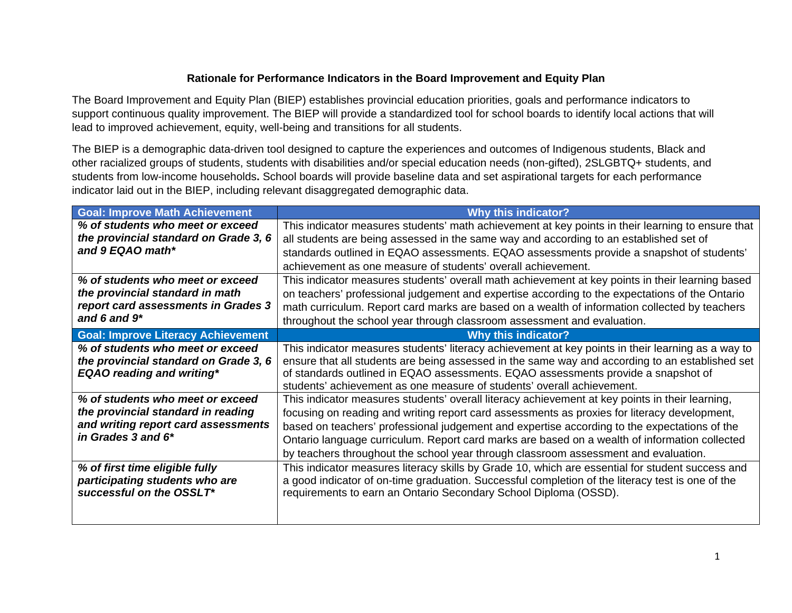## **Rationale for Performance Indicators in the Board Improvement and Equity Plan**

The Board Improvement and Equity Plan (BIEP) establishes provincial education priorities, goals and performance indicators to support continuous quality improvement. The BIEP will provide a standardized tool for school boards to identify local actions that will lead to improved achievement, equity, well-being and transitions for all students.

The BIEP is a demographic data-driven tool designed to capture the experiences and outcomes of Indigenous students, Black and other racialized groups of students, students with disabilities and/or special education needs (non-gifted), 2SLGBTQ+ students, and students from low-income households**.** School boards will provide baseline data and set aspirational targets for each performance indicator laid out in the BIEP, including relevant disaggregated demographic data.

| <b>Goal: Improve Math Achievement</b>     | <b>Why this indicator?</b>                                                                         |
|-------------------------------------------|----------------------------------------------------------------------------------------------------|
| % of students who meet or exceed          | This indicator measures students' math achievement at key points in their learning to ensure that  |
| the provincial standard on Grade 3, 6     | all students are being assessed in the same way and according to an established set of             |
| and 9 EQAO math*                          | standards outlined in EQAO assessments. EQAO assessments provide a snapshot of students'           |
|                                           | achievement as one measure of students' overall achievement.                                       |
| % of students who meet or exceed          | This indicator measures students' overall math achievement at key points in their learning based   |
| the provincial standard in math           | on teachers' professional judgement and expertise according to the expectations of the Ontario     |
| report card assessments in Grades 3       | math curriculum. Report card marks are based on a wealth of information collected by teachers      |
| and 6 and $9*$                            | throughout the school year through classroom assessment and evaluation.                            |
| <b>Goal: Improve Literacy Achievement</b> | <b>Why this indicator?</b>                                                                         |
| % of students who meet or exceed          | This indicator measures students' literacy achievement at key points in their learning as a way to |
| the provincial standard on Grade 3, 6     | ensure that all students are being assessed in the same way and according to an established set    |
| <b>EQAO</b> reading and writing*          | of standards outlined in EQAO assessments. EQAO assessments provide a snapshot of                  |
|                                           | students' achievement as one measure of students' overall achievement.                             |
| % of students who meet or exceed          | This indicator measures students' overall literacy achievement at key points in their learning,    |
| the provincial standard in reading        | focusing on reading and writing report card assessments as proxies for literacy development,       |
| and writing report card assessments       | based on teachers' professional judgement and expertise according to the expectations of the       |
| in Grades 3 and 6*                        | Ontario language curriculum. Report card marks are based on a wealth of information collected      |
|                                           | by teachers throughout the school year through classroom assessment and evaluation.                |
| % of first time eligible fully            | This indicator measures literacy skills by Grade 10, which are essential for student success and   |
| participating students who are            | a good indicator of on-time graduation. Successful completion of the literacy test is one of the   |
| successful on the OSSLT*                  | requirements to earn an Ontario Secondary School Diploma (OSSD).                                   |
|                                           |                                                                                                    |
|                                           |                                                                                                    |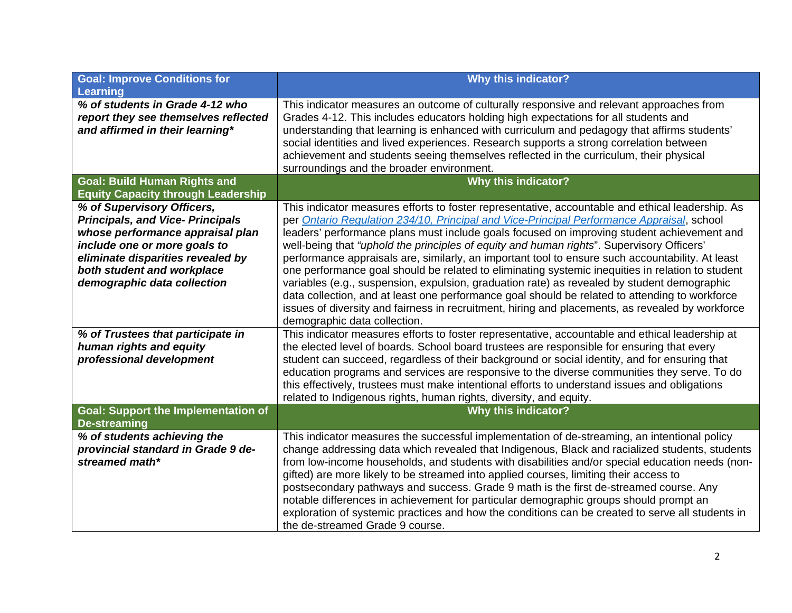| <b>Learning</b><br>% of students in Grade 4-12 who<br>This indicator measures an outcome of culturally responsive and relevant approaches from<br>report they see themselves reflected<br>Grades 4-12. This includes educators holding high expectations for all students and<br>and affirmed in their learning*<br>understanding that learning is enhanced with curriculum and pedagogy that affirms students' |  |
|-----------------------------------------------------------------------------------------------------------------------------------------------------------------------------------------------------------------------------------------------------------------------------------------------------------------------------------------------------------------------------------------------------------------|--|
|                                                                                                                                                                                                                                                                                                                                                                                                                 |  |
|                                                                                                                                                                                                                                                                                                                                                                                                                 |  |
| social identities and lived experiences. Research supports a strong correlation between                                                                                                                                                                                                                                                                                                                         |  |
| achievement and students seeing themselves reflected in the curriculum, their physical<br>surroundings and the broader environment.                                                                                                                                                                                                                                                                             |  |
| <b>Goal: Build Human Rights and</b><br>Why this indicator?                                                                                                                                                                                                                                                                                                                                                      |  |
| <b>Equity Capacity through Leadership</b><br>% of Supervisory Officers,<br>This indicator measures efforts to foster representative, accountable and ethical leadership. As                                                                                                                                                                                                                                     |  |
| <b>Principals, and Vice- Principals</b><br>per Ontario Regulation 234/10, Principal and Vice-Principal Performance Appraisal, school                                                                                                                                                                                                                                                                            |  |
| whose performance appraisal plan<br>leaders' performance plans must include goals focused on improving student achievement and                                                                                                                                                                                                                                                                                  |  |
| well-being that "uphold the principles of equity and human rights". Supervisory Officers'<br>include one or more goals to                                                                                                                                                                                                                                                                                       |  |
| eliminate disparities revealed by<br>performance appraisals are, similarly, an important tool to ensure such accountability. At least<br>both student and workplace<br>one performance goal should be related to eliminating systemic inequities in relation to student                                                                                                                                         |  |
| demographic data collection<br>variables (e.g., suspension, expulsion, graduation rate) as revealed by student demographic                                                                                                                                                                                                                                                                                      |  |
| data collection, and at least one performance goal should be related to attending to workforce                                                                                                                                                                                                                                                                                                                  |  |
| issues of diversity and fairness in recruitment, hiring and placements, as revealed by workforce                                                                                                                                                                                                                                                                                                                |  |
| demographic data collection.<br>% of Trustees that participate in<br>This indicator measures efforts to foster representative, accountable and ethical leadership at                                                                                                                                                                                                                                            |  |
| human rights and equity<br>the elected level of boards. School board trustees are responsible for ensuring that every                                                                                                                                                                                                                                                                                           |  |
| professional development<br>student can succeed, regardless of their background or social identity, and for ensuring that                                                                                                                                                                                                                                                                                       |  |
| education programs and services are responsive to the diverse communities they serve. To do                                                                                                                                                                                                                                                                                                                     |  |
| this effectively, trustees must make intentional efforts to understand issues and obligations<br>related to Indigenous rights, human rights, diversity, and equity.                                                                                                                                                                                                                                             |  |
| <b>Goal: Support the Implementation of</b><br>Why this indicator?                                                                                                                                                                                                                                                                                                                                               |  |
| <b>De-streaming</b>                                                                                                                                                                                                                                                                                                                                                                                             |  |
| % of students achieving the<br>This indicator measures the successful implementation of de-streaming, an intentional policy                                                                                                                                                                                                                                                                                     |  |
| change addressing data which revealed that Indigenous, Black and racialized students, students<br>provincial standard in Grade 9 de-<br>from low-income households, and students with disabilities and/or special education needs (non-<br>streamed math*                                                                                                                                                       |  |
| gifted) are more likely to be streamed into applied courses, limiting their access to                                                                                                                                                                                                                                                                                                                           |  |
| postsecondary pathways and success. Grade 9 math is the first de-streamed course. Any                                                                                                                                                                                                                                                                                                                           |  |
| notable differences in achievement for particular demographic groups should prompt an                                                                                                                                                                                                                                                                                                                           |  |
| exploration of systemic practices and how the conditions can be created to serve all students in<br>the de-streamed Grade 9 course.                                                                                                                                                                                                                                                                             |  |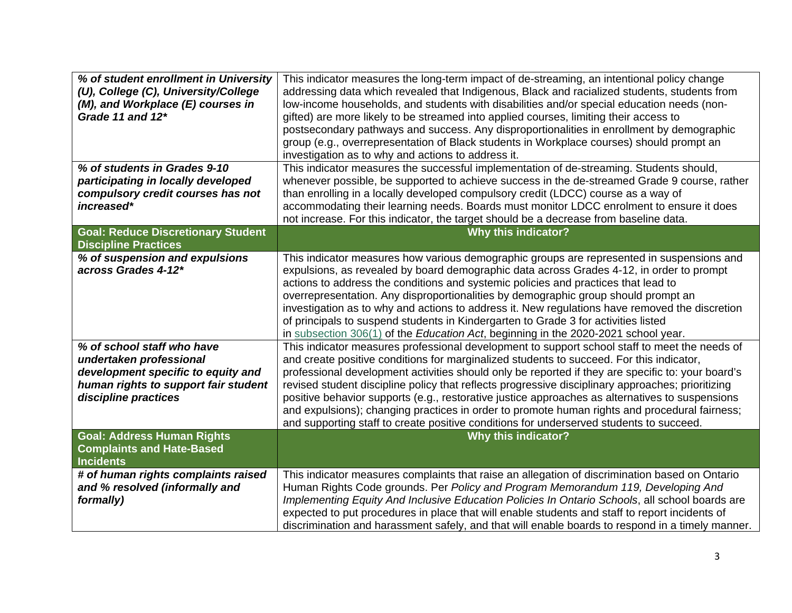| % of student enrollment in University<br>(U), College (C), University/College<br>(M), and Workplace (E) courses in<br>Grade 11 and 12*                                                            | This indicator measures the long-term impact of de-streaming, an intentional policy change<br>addressing data which revealed that Indigenous, Black and racialized students, students from<br>low-income households, and students with disabilities and/or special education needs (non-<br>gifted) are more likely to be streamed into applied courses, limiting their access to<br>postsecondary pathways and success. Any disproportionalities in enrollment by demographic<br>group (e.g., overrepresentation of Black students in Workplace courses) should prompt an<br>investigation as to why and actions to address it.                                                                   |
|---------------------------------------------------------------------------------------------------------------------------------------------------------------------------------------------------|----------------------------------------------------------------------------------------------------------------------------------------------------------------------------------------------------------------------------------------------------------------------------------------------------------------------------------------------------------------------------------------------------------------------------------------------------------------------------------------------------------------------------------------------------------------------------------------------------------------------------------------------------------------------------------------------------|
| % of students in Grades 9-10<br>participating in locally developed<br>compulsory credit courses has not<br>increased*<br><b>Goal: Reduce Discretionary Student</b><br><b>Discipline Practices</b> | This indicator measures the successful implementation of de-streaming. Students should,<br>whenever possible, be supported to achieve success in the de-streamed Grade 9 course, rather<br>than enrolling in a locally developed compulsory credit (LDCC) course as a way of<br>accommodating their learning needs. Boards must monitor LDCC enrolment to ensure it does<br>not increase. For this indicator, the target should be a decrease from baseline data.<br><b>Why this indicator?</b>                                                                                                                                                                                                    |
| % of suspension and expulsions<br>across Grades 4-12*                                                                                                                                             | This indicator measures how various demographic groups are represented in suspensions and<br>expulsions, as revealed by board demographic data across Grades 4-12, in order to prompt<br>actions to address the conditions and systemic policies and practices that lead to<br>overrepresentation. Any disproportionalities by demographic group should prompt an<br>investigation as to why and actions to address it. New regulations have removed the discretion<br>of principals to suspend students in Kindergarten to Grade 3 for activities listed<br>in subsection 306(1) of the Education Act, beginning in the 2020-2021 school year.                                                    |
| % of school staff who have<br>undertaken professional<br>development specific to equity and<br>human rights to support fair student<br>discipline practices                                       | This indicator measures professional development to support school staff to meet the needs of<br>and create positive conditions for marginalized students to succeed. For this indicator,<br>professional development activities should only be reported if they are specific to: your board's<br>revised student discipline policy that reflects progressive disciplinary approaches; prioritizing<br>positive behavior supports (e.g., restorative justice approaches as alternatives to suspensions<br>and expulsions); changing practices in order to promote human rights and procedural fairness;<br>and supporting staff to create positive conditions for underserved students to succeed. |
| <b>Goal: Address Human Rights</b><br><b>Complaints and Hate-Based</b><br><b>Incidents</b>                                                                                                         | Why this indicator?                                                                                                                                                                                                                                                                                                                                                                                                                                                                                                                                                                                                                                                                                |
| # of human rights complaints raised<br>and % resolved (informally and<br>formally)                                                                                                                | This indicator measures complaints that raise an allegation of discrimination based on Ontario<br>Human Rights Code grounds. Per Policy and Program Memorandum 119, Developing And<br>Implementing Equity And Inclusive Education Policies In Ontario Schools, all school boards are<br>expected to put procedures in place that will enable students and staff to report incidents of<br>discrimination and harassment safely, and that will enable boards to respond in a timely manner.                                                                                                                                                                                                         |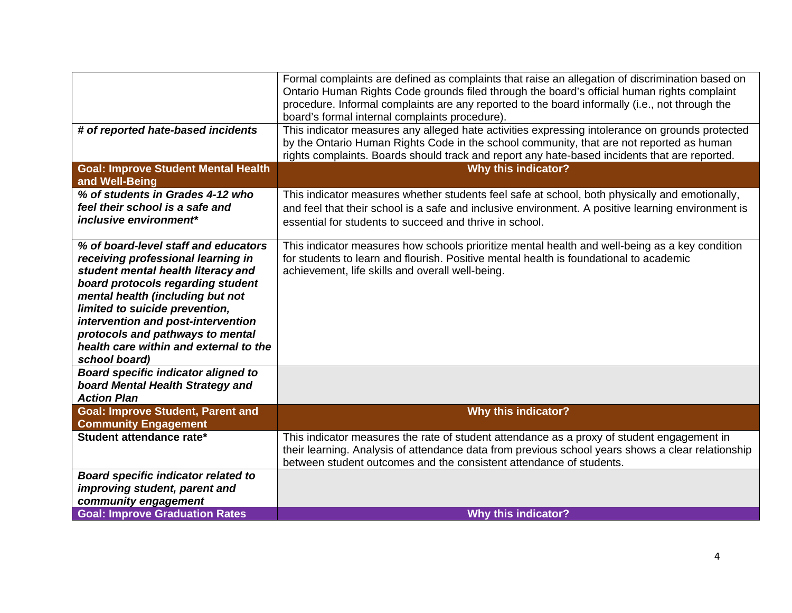| # of reported hate-based incidents                                                                                                                                                                                                                                                                                                                               | Formal complaints are defined as complaints that raise an allegation of discrimination based on<br>Ontario Human Rights Code grounds filed through the board's official human rights complaint<br>procedure. Informal complaints are any reported to the board informally (i.e., not through the<br>board's formal internal complaints procedure).<br>This indicator measures any alleged hate activities expressing intolerance on grounds protected<br>by the Ontario Human Rights Code in the school community, that are not reported as human<br>rights complaints. Boards should track and report any hate-based incidents that are reported. |
|------------------------------------------------------------------------------------------------------------------------------------------------------------------------------------------------------------------------------------------------------------------------------------------------------------------------------------------------------------------|----------------------------------------------------------------------------------------------------------------------------------------------------------------------------------------------------------------------------------------------------------------------------------------------------------------------------------------------------------------------------------------------------------------------------------------------------------------------------------------------------------------------------------------------------------------------------------------------------------------------------------------------------|
| <b>Goal: Improve Student Mental Health</b><br>and Well-Being                                                                                                                                                                                                                                                                                                     | <b>Why this indicator?</b>                                                                                                                                                                                                                                                                                                                                                                                                                                                                                                                                                                                                                         |
| % of students in Grades 4-12 who<br>feel their school is a safe and<br>inclusive environment*                                                                                                                                                                                                                                                                    | This indicator measures whether students feel safe at school, both physically and emotionally,<br>and feel that their school is a safe and inclusive environment. A positive learning environment is<br>essential for students to succeed and thrive in school.                                                                                                                                                                                                                                                                                                                                                                                    |
| % of board-level staff and educators<br>receiving professional learning in<br>student mental health literacy and<br>board protocols regarding student<br>mental health (including but not<br>limited to suicide prevention,<br>intervention and post-intervention<br>protocols and pathways to mental<br>health care within and external to the<br>school board) | This indicator measures how schools prioritize mental health and well-being as a key condition<br>for students to learn and flourish. Positive mental health is foundational to academic<br>achievement, life skills and overall well-being.                                                                                                                                                                                                                                                                                                                                                                                                       |
| <b>Board specific indicator aligned to</b><br>board Mental Health Strategy and<br><b>Action Plan</b>                                                                                                                                                                                                                                                             |                                                                                                                                                                                                                                                                                                                                                                                                                                                                                                                                                                                                                                                    |
| <b>Goal: Improve Student, Parent and</b><br><b>Community Engagement</b>                                                                                                                                                                                                                                                                                          | <b>Why this indicator?</b>                                                                                                                                                                                                                                                                                                                                                                                                                                                                                                                                                                                                                         |
| Student attendance rate*                                                                                                                                                                                                                                                                                                                                         | This indicator measures the rate of student attendance as a proxy of student engagement in<br>their learning. Analysis of attendance data from previous school years shows a clear relationship<br>between student outcomes and the consistent attendance of students.                                                                                                                                                                                                                                                                                                                                                                             |
| <b>Board specific indicator related to</b><br>improving student, parent and<br>community engagement                                                                                                                                                                                                                                                              |                                                                                                                                                                                                                                                                                                                                                                                                                                                                                                                                                                                                                                                    |
| <b>Goal: Improve Graduation Rates</b>                                                                                                                                                                                                                                                                                                                            | <b>Why this indicator?</b>                                                                                                                                                                                                                                                                                                                                                                                                                                                                                                                                                                                                                         |